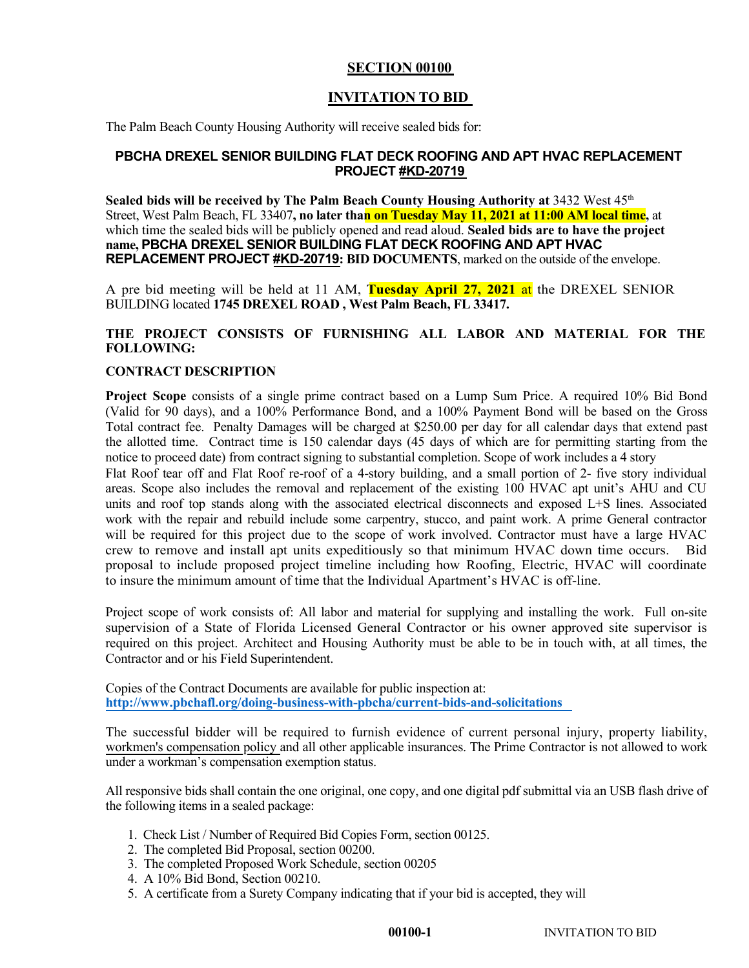# **SECTION 00100**

# **INVITATION TO BID**

The Palm Beach County Housing Authority will receive sealed bids for:

# **PBCHA DREXEL SENIOR BUILDING FLAT DECK ROOFING AND APT HVAC REPLACEMENT PROJECT #KD-20719**

Sealed bids will be received by The Palm Beach County Housing Authority at 3432 West 45<sup>th</sup> Street, West Palm Beach, FL 33407**, no later than on Tuesday May 11, 2021 at 11:00 AM local time,** at which time the sealed bids will be publicly opened and read aloud. **Sealed bids are to have the project name, PBCHA DREXEL SENIOR BUILDING FLAT DECK ROOFING AND APT HVAC REPLACEMENT PROJECT #KD-20719: BID DOCUMENTS**, marked on the outside of the envelope.

A pre bid meeting will be held at 11 AM, **Tuesday April 27, 2021** at the DREXEL SENIOR BUILDING located **1745 DREXEL ROAD , West Palm Beach, FL 33417.** 

## **THE PROJECT CONSISTS OF FURNISHING ALL LABOR AND MATERIAL FOR THE FOLLOWING:**

## **CONTRACT DESCRIPTION**

**Project Scope** consists of a single prime contract based on a Lump Sum Price. A required 10% Bid Bond (Valid for 90 days), and a 100% Performance Bond, and a 100% Payment Bond will be based on the Gross Total contract fee. Penalty Damages will be charged at \$250.00 per day for all calendar days that extend past the allotted time. Contract time is 150 calendar days (45 days of which are for permitting starting from the notice to proceed date) from contract signing to substantial completion. Scope of work includes a 4 story

Flat Roof tear off and Flat Roof re-roof of a 4-story building, and a small portion of 2- five story individual areas. Scope also includes the removal and replacement of the existing 100 HVAC apt unit's AHU and CU units and roof top stands along with the associated electrical disconnects and exposed L+S lines. Associated work with the repair and rebuild include some carpentry, stucco, and paint work. A prime General contractor will be required for this project due to the scope of work involved. Contractor must have a large HVAC crew to remove and install apt units expeditiously so that minimum HVAC down time occurs. Bid proposal to include proposed project timeline including how Roofing, Electric, HVAC will coordinate to insure the minimum amount of time that the Individual Apartment's HVAC is off-line.

Project scope of work consists of: All labor and material for supplying and installing the work. Full on-site supervision of a State of Florida Licensed General Contractor or his owner approved site supervisor is required on this project. Architect and Housing Authority must be able to be in touch with, at all times, the Contractor and or his Field Superintendent.

Copies of the Contract Documents are available for public inspection at: **http://www.pbchafl.org/doing-business-with-pbcha/current-bids-and-solicitations** 

The successful bidder will be required to furnish evidence of current personal injury, property liability, workmen's compensation policy and all other applicable insurances. The Prime Contractor is not allowed to work under a workman's compensation exemption status.

All responsive bids shall contain the one original, one copy, and one digital pdf submittal via an USB flash drive of the following items in a sealed package:

- 1. Check List / Number of Required Bid Copies Form, section 00125.
- 2. The completed Bid Proposal, section 00200.
- 3. The completed Proposed Work Schedule, section 00205
- 4. A 10% Bid Bond, Section 00210.
- 5. A certificate from a Surety Company indicating that if your bid is accepted, they will